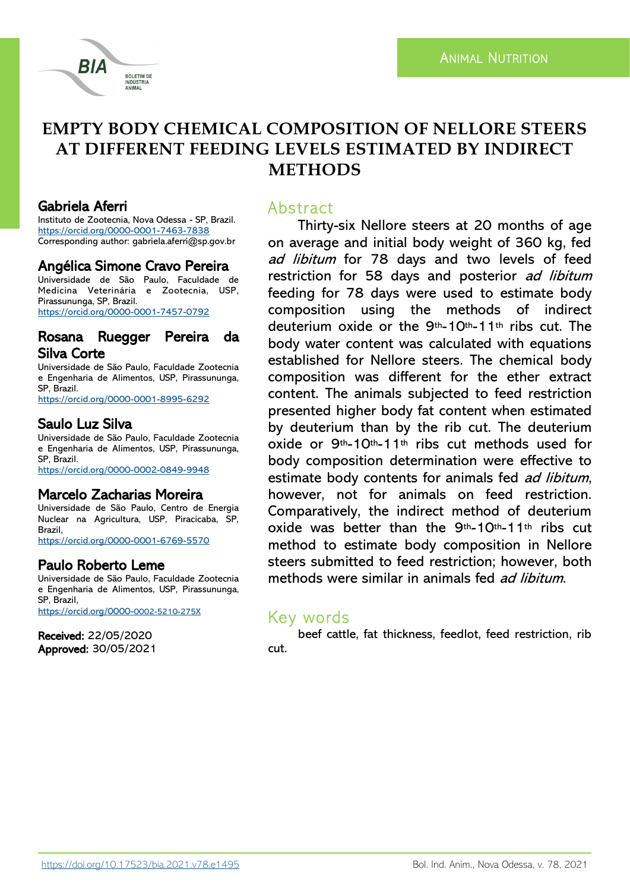

# **EMPTY BODY CHEMICAL COMPOSITION OF NELLORE STEERS AT DIFFERENT FEEDING LEVELS ESTIMATED BY INDIRECT METHODS**

## Gabriela Aferri

Instituto de Zootecnia, Nova Odessa - SP, Brazil. <https://orcid.org/0000-0001-7463-7838> Corresponding author: gabriela.aferri@sp.gov.br

## Angélica Simone Cravo Pereira

Universidade de São Paulo, Faculdade de Medicina Veterinária e Zootecnia, USP, Pirassununga, SP, Brazil. <https://orcid.org/0000-0001-7457-0792>

### Rosana Ruegger Pereira da Silva Corte

Universidade de São Paulo, Faculdade Zootecnia e Engenharia de Alimentos, USP, Pirassununga, SP, Brazil.

<https://orcid.org/0000-0001-8995-6292>

## Saulo Luz Silva

Universidade de São Paulo, Faculdade Zootecnia e Engenharia de Alimentos, USP, Pirassununga, SP, Brazil. <https://orcid.org/0000-0002-0849-9948>

## Marcelo Zacharias Moreira

Universidade de São Paulo, Centro de Energia Nuclear na Agricultura, USP, Piracicaba, SP, Brazil, <https://orcid.org/0000-0001-6769-5570>

## Paulo Roberto Leme

Universidade de São Paulo, Faculdade Zootecnia e Engenharia de Alimentos, USP, Pirassununga, SP, Brazil, [https://orcid.org/0000-](https://orcid.org/0000-0002-5210-275X)0002-5210-275X

Received: 22/05/2020 Approved: 30/05/2021

## Abstract

Thirty-six Nellore steers at 20 months of age on average and initial body weight of 360 kg, fed ad libitum for 78 days and two levels of feed restriction for 58 days and posterior ad libitum feeding for 78 days were used to estimate body composition using the methods of indirect deuterium oxide or the 9th-10th-11th ribs cut. The body water content was calculated with equations established for Nellore steers. The chemical body composition was different for the ether extract content. The animals subjected to feed restriction presented higher body fat content when estimated by deuterium than by the rib cut. The deuterium oxide or 9th-10th-11th ribs cut methods used for body composition determination were effective to estimate body contents for animals fed ad libitum, however, not for animals on feed restriction. Comparatively, the indirect method of deuterium oxide was better than the 9th-10th-11th ribs cut method to estimate body composition in Nellore steers submitted to feed restriction; however, both methods were similar in animals fed *ad libitum*.

## Key words

beef cattle, fat thickness, feedlot, feed restriction, rib cut.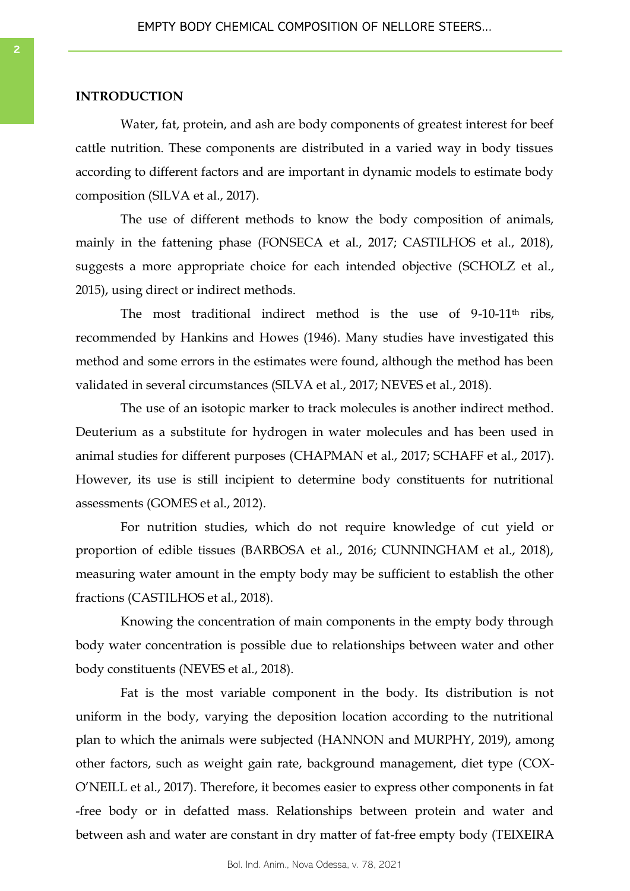#### **INTRODUCTION**

Water, fat, protein, and ash are body components of greatest interest for beef cattle nutrition. These components are distributed in a varied way in body tissues according to different factors and are important in dynamic models to estimate body composition (SILVA et al., 2017).

The use of different methods to know the body composition of animals, mainly in the fattening phase (FONSECA et al., 2017; CASTILHOS et al., 2018), suggests a more appropriate choice for each intended objective (SCHOLZ et al., 2015), using direct or indirect methods.

The most traditional indirect method is the use of 9-10-11<sup>th</sup> ribs, recommended by Hankins and Howes (1946). Many studies have investigated this method and some errors in the estimates were found, although the method has been validated in several circumstances (SILVA et al., 2017; NEVES et al., 2018).

The use of an isotopic marker to track molecules is another indirect method. Deuterium as a substitute for hydrogen in water molecules and has been used in animal studies for different purposes (CHAPMAN et al., 2017; SCHAFF et al., 2017). However, its use is still incipient to determine body constituents for nutritional assessments (GOMES et al., 2012).

For nutrition studies, which do not require knowledge of cut yield or proportion of edible tissues (BARBOSA et al., 2016; CUNNINGHAM et al., 2018), measuring water amount in the empty body may be sufficient to establish the other fractions (CASTILHOS et al., 2018).

Knowing the concentration of main components in the empty body through body water concentration is possible due to relationships between water and other body constituents (NEVES et al., 2018).

Fat is the most variable component in the body. Its distribution is not uniform in the body, varying the deposition location according to the nutritional plan to which the animals were subjected (HANNON and MURPHY, 2019), among other factors, such as weight gain rate, background management, diet type (COX-O'NEILL et al., 2017). Therefore, it becomes easier to express other components in fat -free body or in defatted mass. Relationships between protein and water and between ash and water are constant in dry matter of fat-free empty body (TEIXEIRA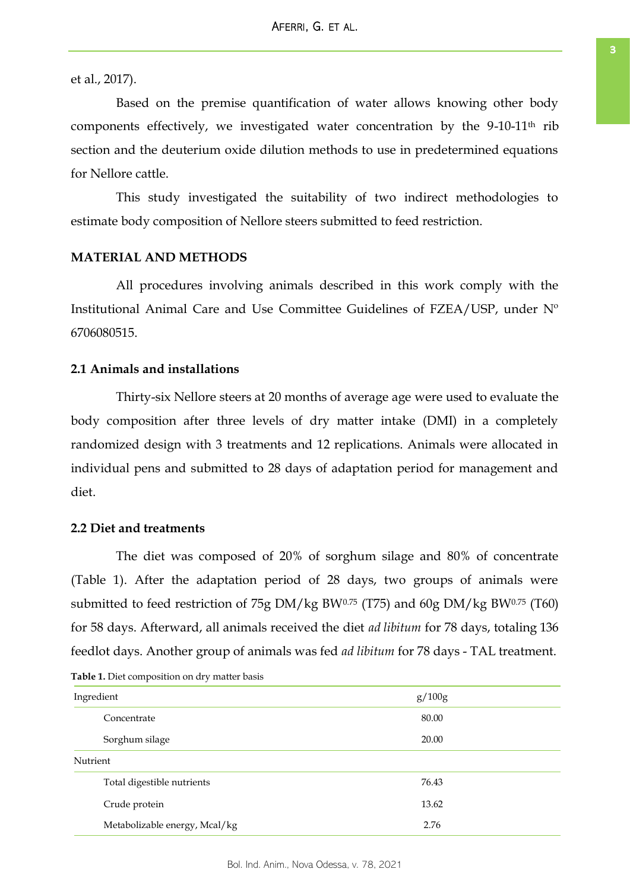et al., 2017).

Based on the premise quantification of water allows knowing other body components effectively, we investigated water concentration by the 9-10-11th rib section and the deuterium oxide dilution methods to use in predetermined equations for Nellore cattle.

This study investigated the suitability of two indirect methodologies to estimate body composition of Nellore steers submitted to feed restriction.

#### **MATERIAL AND METHODS**

All procedures involving animals described in this work comply with the Institutional Animal Care and Use Committee Guidelines of FZEA/USP, under Nº 6706080515.

#### **2.1 Animals and installations**

Thirty-six Nellore steers at 20 months of average age were used to evaluate the body composition after three levels of dry matter intake (DMI) in a completely randomized design with 3 treatments and 12 replications. Animals were allocated in individual pens and submitted to 28 days of adaptation period for management and diet.

#### **2.2 Diet and treatments**

The diet was composed of 20% of sorghum silage and 80% of concentrate (Table 1). After the adaptation period of 28 days, two groups of animals were submitted to feed restriction of 75g DM/kg BW0.75 (T75) and 60g DM/kg BW0.75 (T60) for 58 days. Afterward, all animals received the diet *ad libitum* for 78 days, totaling 136 feedlot days. Another group of animals was fed *ad libitum* for 78 days - TAL treatment.

| Ingredient                    | g/100g |
|-------------------------------|--------|
| Concentrate                   | 80.00  |
| Sorghum silage                | 20.00  |
| Nutrient                      |        |
| Total digestible nutrients    | 76.43  |
| Crude protein                 | 13.62  |
| Metabolizable energy, Mcal/kg | 2.76   |

**Table 1.** Diet composition on dry matter basis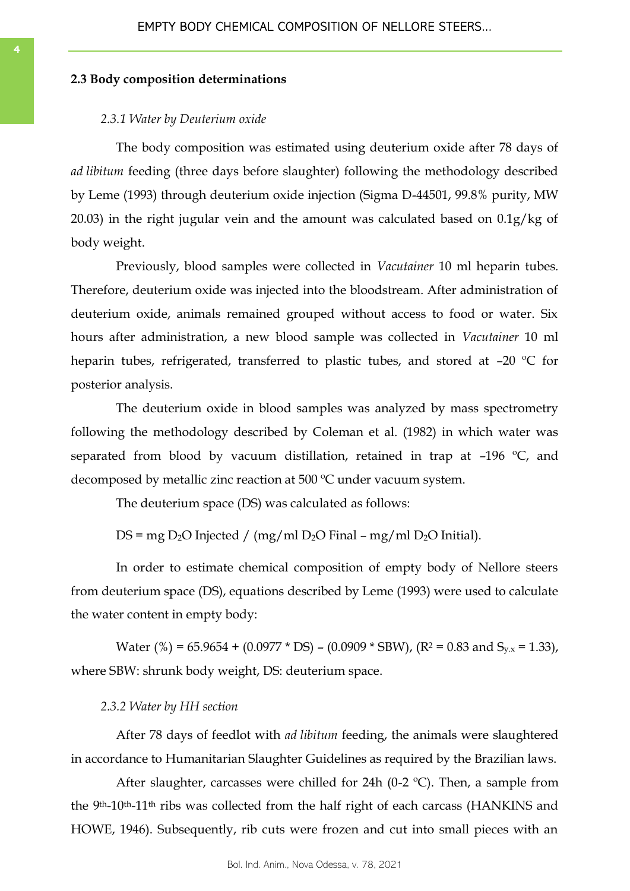#### **2.3 Body composition determinations**

#### *2.3.1 Water by Deuterium oxide*

The body composition was estimated using deuterium oxide after 78 days of *ad libitum* feeding (three days before slaughter) following the methodology described by Leme (1993) through deuterium oxide injection (Sigma D-44501, 99.8% purity, MW 20.03) in the right jugular vein and the amount was calculated based on 0.1g/kg of body weight.

Previously, blood samples were collected in *Vacutainer* 10 ml heparin tubes. Therefore, deuterium oxide was injected into the bloodstream. After administration of deuterium oxide, animals remained grouped without access to food or water. Six hours after administration, a new blood sample was collected in *Vacutainer* 10 ml heparin tubes, refrigerated, transferred to plastic tubes, and stored at -20 °C for posterior analysis.

The deuterium oxide in blood samples was analyzed by mass spectrometry following the methodology described by Coleman et al. (1982) in which water was separated from blood by vacuum distillation, retained in trap at -196 °C, and decomposed by metallic zinc reaction at 500 ºC under vacuum system.

The deuterium space (DS) was calculated as follows:

DS = mg D<sub>2</sub>O Injected / (mg/ml D<sub>2</sub>O Final – mg/ml D<sub>2</sub>O Initial).

In order to estimate chemical composition of empty body of Nellore steers from deuterium space (DS), equations described by Leme (1993) were used to calculate the water content in empty body:

Water (%) = 65.9654 + (0.0977 \* DS) – (0.0909 \* SBW), (R<sup>2</sup> = 0.83 and S<sub>y.x</sub> = 1.33), where SBW: shrunk body weight, DS: deuterium space.

#### *2.3.2 Water by HH section*

After 78 days of feedlot with *ad libitum* feeding, the animals were slaughtered in accordance to Humanitarian Slaughter Guidelines as required by the Brazilian laws.

After slaughter, carcasses were chilled for 24h (0-2  $^{\circ}$ C). Then, a sample from the 9th-10th-11th ribs was collected from the half right of each carcass (HANKINS and HOWE, 1946). Subsequently, rib cuts were frozen and cut into small pieces with an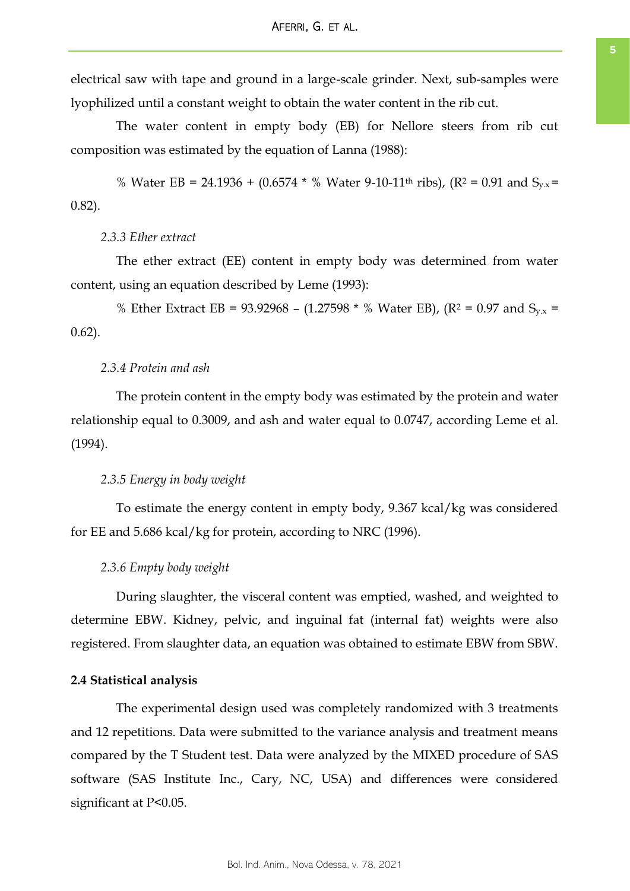electrical saw with tape and ground in a large-scale grinder. Next, sub-samples were lyophilized until a constant weight to obtain the water content in the rib cut.

The water content in empty body (EB) for Nellore steers from rib cut composition was estimated by the equation of Lanna (1988):

% Water EB = 24.1936 + (0.6574  $*$  % Water 9-10-11<sup>th</sup> ribs), (R<sup>2</sup> = 0.91 and S<sub>v.x</sub> = 0.82).

#### *2.3.3 Ether extract*

The ether extract (EE) content in empty body was determined from water content, using an equation described by Leme (1993):

% Ether Extract EB = 93.92968 – (1.27598  $*$  % Water EB), (R<sup>2</sup> = 0.97 and S<sub>y.x</sub> = 0.62).

#### *2.3.4 Protein and ash*

The protein content in the empty body was estimated by the protein and water relationship equal to 0.3009, and ash and water equal to 0.0747, according Leme et al. (1994).

#### *2.3.5 Energy in body weight*

To estimate the energy content in empty body, 9.367 kcal/kg was considered for EE and 5.686 kcal/kg for protein, according to NRC (1996).

#### *2.3.6 Empty body weight*

During slaughter, the visceral content was emptied, washed, and weighted to determine EBW. Kidney, pelvic, and inguinal fat (internal fat) weights were also registered. From slaughter data, an equation was obtained to estimate EBW from SBW.

#### **2.4 Statistical analysis**

The experimental design used was completely randomized with 3 treatments and 12 repetitions. Data were submitted to the variance analysis and treatment means compared by the T Student test. Data were analyzed by the MIXED procedure of SAS software (SAS Institute Inc., Cary, NC, USA) and differences were considered significant at P<0.05.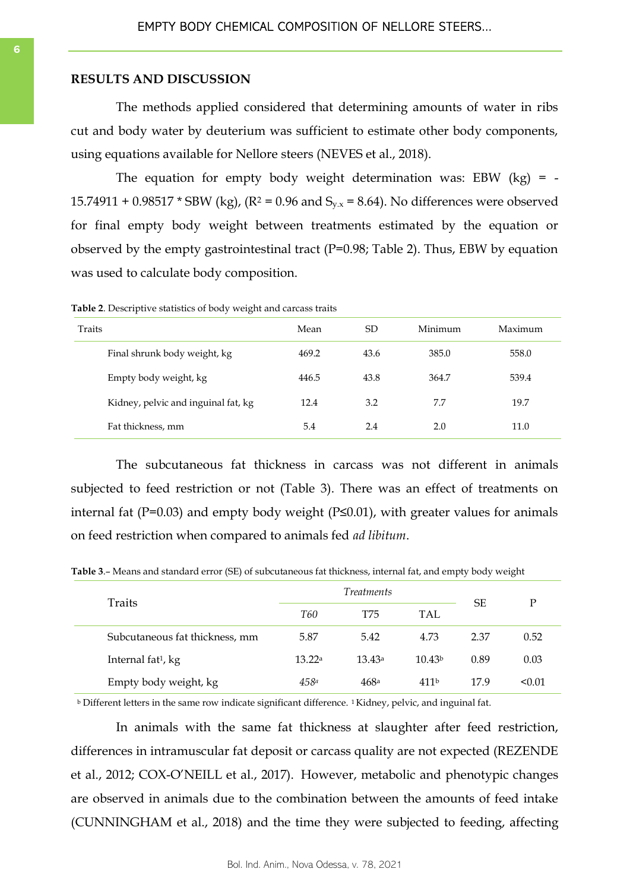#### **RESULTS AND DISCUSSION**

The methods applied considered that determining amounts of water in ribs cut and body water by deuterium was sufficient to estimate other body components, using equations available for Nellore steers (NEVES et al., 2018).

The equation for empty body weight determination was: EBW  $(kg) = -$ 15.74911 + 0.98517  $*$  SBW (kg), (R<sup>2</sup> = 0.96 and S<sub>y,x</sub> = 8.64). No differences were observed for final empty body weight between treatments estimated by the equation or observed by the empty gastrointestinal tract (P=0.98; Table 2). Thus, EBW by equation was used to calculate body composition.

**Table 2**. Descriptive statistics of body weight and carcass traits

| Traits                              | Mean  | SD   | Minimum | Maximum |
|-------------------------------------|-------|------|---------|---------|
| Final shrunk body weight, kg        | 469.2 | 43.6 | 385.0   | 558.0   |
| Empty body weight, kg               | 446.5 | 43.8 | 364.7   | 539.4   |
| Kidney, pelvic and inguinal fat, kg | 12.4  | 3.2  | 7.7     | 19.7    |
| Fat thickness, mm                   | 5.4   | 2.4  | 2.0     | 11.0    |

The subcutaneous fat thickness in carcass was not different in animals subjected to feed restriction or not (Table 3). There was an effect of treatments on internal fat ( $P=0.03$ ) and empty body weight ( $P≤0.01$ ), with greater values for animals on feed restriction when compared to animals fed *ad libitum*.

| Traits                         | Treatments |        |                    | SE   | Р      |
|--------------------------------|------------|--------|--------------------|------|--------|
|                                | <b>T60</b> | T75    | TAL                |      |        |
| Subcutaneous fat thickness, mm | 5.87       | 5.42   | 4.73               | 2.37 | 0.52   |
| Internal fat <sup>1</sup> , kg | 13.22a     | 13.43a | 10.43 <sup>b</sup> | 0.89 | 0.03   |
| Empty body weight, kg          | 458a       | 468a   | 411 <sup>b</sup>   | 17.9 | < 0.01 |

**Table 3**.– Means and standard error (SE) of subcutaneous fat thickness, internal fat, and empty body weight

 $\frac{1}{2}$  Different letters in the same row indicate significant difference. 1Kidney, pelvic, and inguinal fat.

In animals with the same fat thickness at slaughter after feed restriction, differences in intramuscular fat deposit or carcass quality are not expected (REZENDE et al., 2012; COX-O'NEILL et al., 2017). However, metabolic and phenotypic changes are observed in animals due to the combination between the amounts of feed intake (CUNNINGHAM et al., 2018) and the time they were subjected to feeding, affecting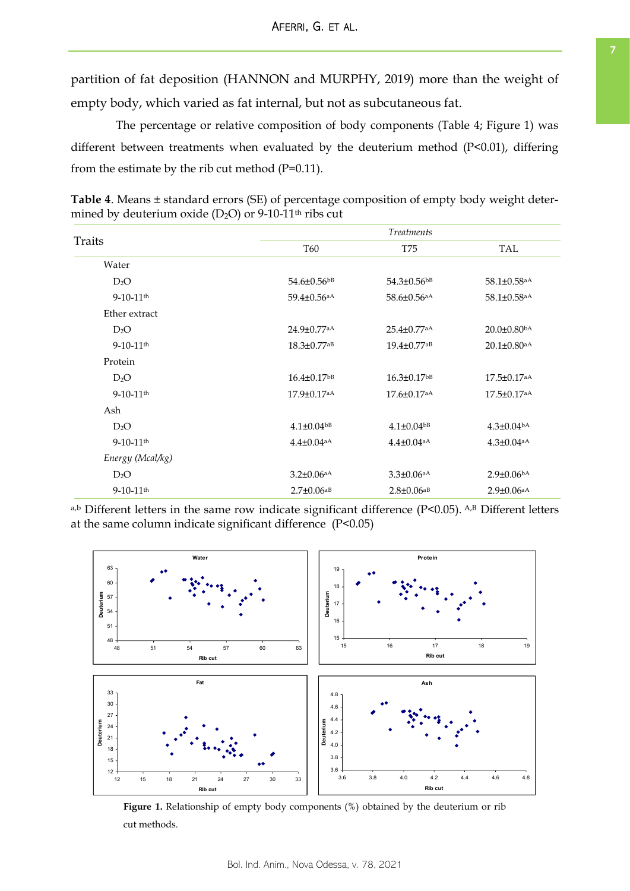partition of fat deposition (HANNON and MURPHY, 2019) more than the weight of empty body, which varied as fat internal, but not as subcutaneous fat.

The percentage or relative composition of body components (Table 4; Figure 1) was different between treatments when evaluated by the deuterium method (P<0.01), differing from the estimate by the rib cut method  $(P=0.11)$ .

**Table 4**. Means ± standard errors (SE) of percentage composition of empty body weight determined by deuterium oxide  $(D_2O)$  or 9-10-11<sup>th</sup> ribs cut

| Traits                  |                               | <i>Treatments</i>             |                               |  |  |  |
|-------------------------|-------------------------------|-------------------------------|-------------------------------|--|--|--|
|                         | <b>T60</b>                    | <b>T75</b>                    | TAL                           |  |  |  |
| Water                   |                               |                               |                               |  |  |  |
| $D_2O$                  | 54.6±0.56bB                   | $54.3 \pm 0.56$ <sup>bB</sup> | 58.1±0.58 <sup>aA</sup>       |  |  |  |
| $9-10-11$ <sup>th</sup> | 59.4±0.56 <sup>aA</sup>       | 58.6±0.56 <sup>aA</sup>       | 58.1±0.58 <sup>aA</sup>       |  |  |  |
| Ether extract           |                               |                               |                               |  |  |  |
| $D_2O$                  | 24.9±0.77aA                   | $25.4 \pm 0.77$ <sup>aA</sup> | $20.0 \pm 0.80$ <sup>bA</sup> |  |  |  |
| $9-10-11$ <sup>th</sup> | $18.3 \pm 0.77$ <sup>aB</sup> | $19.4 \pm 0.77$ <sup>aB</sup> | $20.1 \pm 0.80$ aA            |  |  |  |
| Protein                 |                               |                               |                               |  |  |  |
| $D_2O$                  | $16.4 \pm 0.17$ bB            | $16.3 \pm 0.17$ bB            | $17.5 \pm 0.17$ aA            |  |  |  |
| $9-10-11$ <sup>th</sup> | $17.9 \pm 0.17$ aA            | $17.6 \pm 0.17$ aA            | $17.5 \pm 0.17$ aA            |  |  |  |
| Ash                     |                               |                               |                               |  |  |  |
| $D_2O$                  | $4.1 \pm 0.04$ bB             | $4.1 \pm 0.04$ <sub>bB</sub>  | $4.3 \pm 0.04$ <sub>bA</sub>  |  |  |  |
| $9-10-11$ <sup>th</sup> | $4.4 \pm 0.04$ aA             | $4.4 \pm 0.04$ <sub>aA</sub>  | $4.3 \pm 0.04$ aA             |  |  |  |
| Energy (Mcal/kg)        |                               |                               |                               |  |  |  |
| $D_2O$                  | $3.2 \pm 0.06$ <sub>a</sub> A | $3.3 \pm 0.06$ <sub>aA</sub>  | $2.9 \pm 0.06$ bA             |  |  |  |
| $9-10-11$ <sup>th</sup> | $2.7 \pm 0.06$ <sup>aB</sup>  | $2.8 \pm 0.06$ <sub>aB</sub>  | $2.9 \pm 0.06$ <sup>aA</sup>  |  |  |  |

a,b Different letters in the same row indicate significant difference (P<0.05). A,B Different letters at the same column indicate significant difference (P<0.05)



**Figure 1.** Relationship of empty body components (%) obtained by the deuterium or rib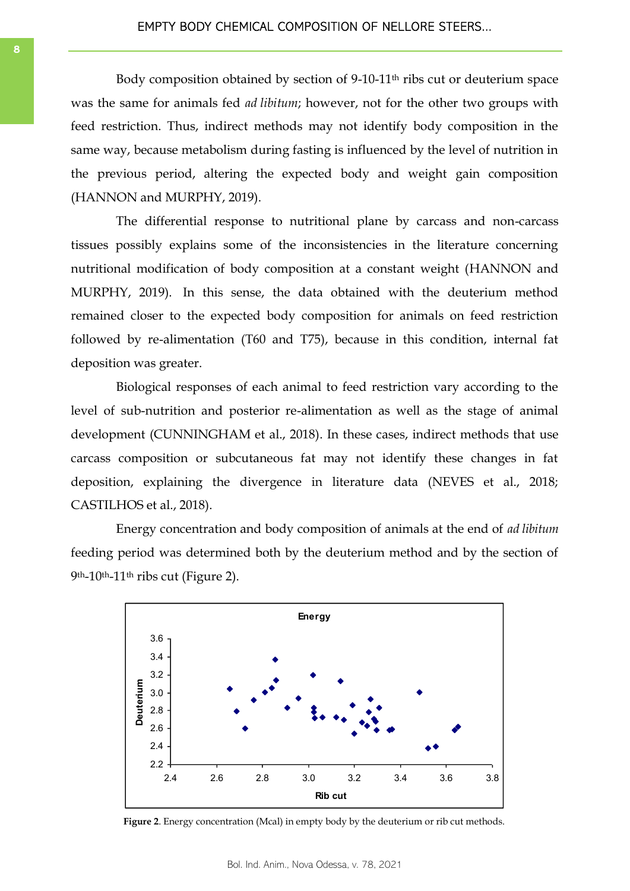Body composition obtained by section of 9-10-11<sup>th</sup> ribs cut or deuterium space was the same for animals fed *ad libitum*; however, not for the other two groups with feed restriction. Thus, indirect methods may not identify body composition in the same way, because metabolism during fasting is influenced by the level of nutrition in the previous period, altering the expected body and weight gain composition (HANNON and MURPHY, 2019).

The differential response to nutritional plane by carcass and non-carcass tissues possibly explains some of the inconsistencies in the literature concerning nutritional modification of body composition at a constant weight (HANNON and MURPHY, 2019). In this sense, the data obtained with the deuterium method remained closer to the expected body composition for animals on feed restriction followed by re-alimentation (T60 and T75), because in this condition, internal fat deposition was greater.

Biological responses of each animal to feed restriction vary according to the level of sub-nutrition and posterior re-alimentation as well as the stage of animal development (CUNNINGHAM et al., 2018). In these cases, indirect methods that use carcass composition or subcutaneous fat may not identify these changes in fat deposition, explaining the divergence in literature data (NEVES et al., 2018; CASTILHOS et al., 2018).

Energy concentration and body composition of animals at the end of *ad libitum* feeding period was determined both by the deuterium method and by the section of  $9<sup>th</sup>$ -10<sup>th</sup>-11<sup>th</sup> ribs cut (Figure 2).

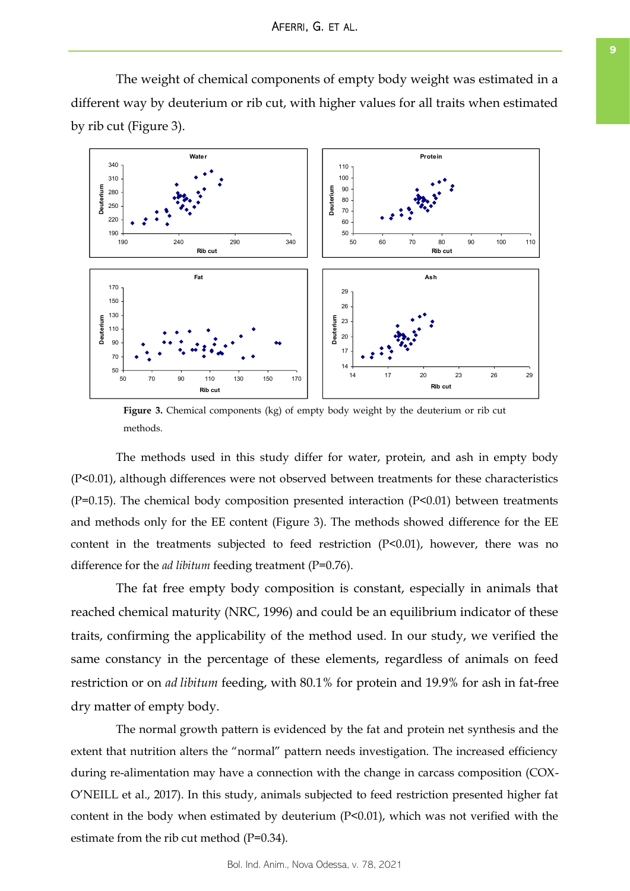The weight of chemical components of empty body weight was estimated in a different way by deuterium or rib cut, with higher values for all traits when estimated by rib cut (Figure 3).



**Figure 3.** Chemical components (kg) of empty body weight by the deuterium or rib cut methods.

The methods used in this study differ for water, protein, and ash in empty body (P<0.01), although differences were not observed between treatments for these characteristics (P=0.15). The chemical body composition presented interaction (P<0.01) between treatments and methods only for the EE content (Figure 3). The methods showed difference for the EE content in the treatments subjected to feed restriction  $(P<0.01)$ , however, there was no difference for the *ad libitum* feeding treatment (P=0.76).

The fat free empty body composition is constant, especially in animals that reached chemical maturity (NRC, 1996) and could be an equilibrium indicator of these traits, confirming the applicability of the method used. In our study, we verified the same constancy in the percentage of these elements, regardless of animals on feed restriction or on *ad libitum* feeding, with 80.1% for protein and 19.9% for ash in fat-free dry matter of empty body.

The normal growth pattern is evidenced by the fat and protein net synthesis and the extent that nutrition alters the "normal" pattern needs investigation. The increased efficiency during re-alimentation may have a connection with the change in carcass composition (COX-O'NEILL et al., 2017). In this study, animals subjected to feed restriction presented higher fat content in the body when estimated by deuterium (P<0.01), which was not verified with the estimate from the rib cut method (P=0.34).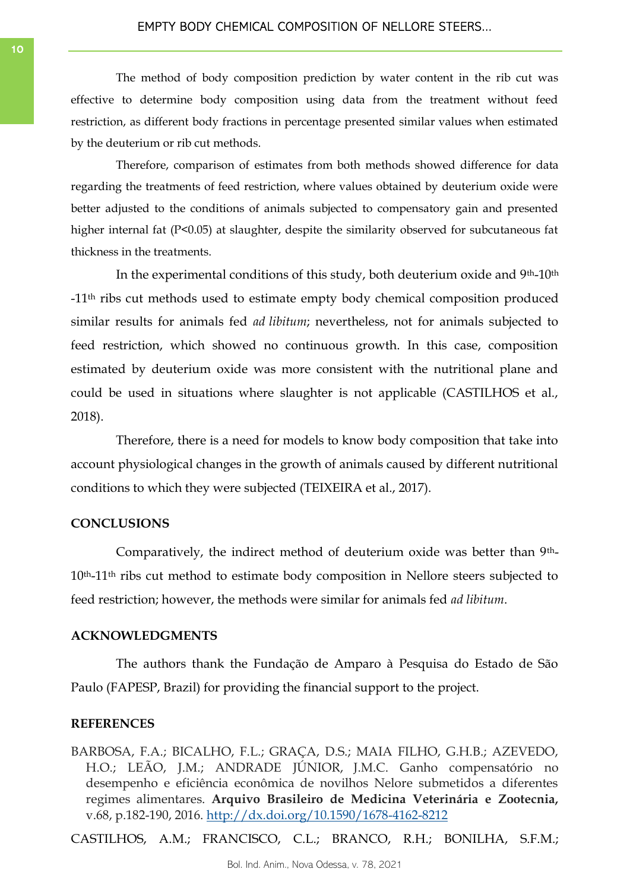The method of body composition prediction by water content in the rib cut was effective to determine body composition using data from the treatment without feed restriction, as different body fractions in percentage presented similar values when estimated by the deuterium or rib cut methods.

Therefore, comparison of estimates from both methods showed difference for data regarding the treatments of feed restriction, where values obtained by deuterium oxide were better adjusted to the conditions of animals subjected to compensatory gain and presented higher internal fat (P<0.05) at slaughter, despite the similarity observed for subcutaneous fat thickness in the treatments.

In the experimental conditions of this study, both deuterium oxide and 9th-10th -11th ribs cut methods used to estimate empty body chemical composition produced similar results for animals fed *ad libitum*; nevertheless, not for animals subjected to feed restriction, which showed no continuous growth. In this case, composition estimated by deuterium oxide was more consistent with the nutritional plane and could be used in situations where slaughter is not applicable (CASTILHOS et al., 2018).

Therefore, there is a need for models to know body composition that take into account physiological changes in the growth of animals caused by different nutritional conditions to which they were subjected (TEIXEIRA et al., 2017).

#### **CONCLUSIONS**

Comparatively, the indirect method of deuterium oxide was better than 9th-10th-11th ribs cut method to estimate body composition in Nellore steers subjected to feed restriction; however, the methods were similar for animals fed *ad libitum*.

#### **ACKNOWLEDGMENTS**

The authors thank the Fundação de Amparo à Pesquisa do Estado de São Paulo (FAPESP, Brazil) for providing the financial support to the project.

#### **REFERENCES**

BARBOSA, F.A.; BICALHO, F.L.; GRAÇA, D.S.; MAIA FILHO, G.H.B.; AZEVEDO, H.O.; LEÃO, J.M.; ANDRADE JÚNIOR, J.M.C. Ganho compensatório no desempenho e eficiência econômica de novilhos Nelore submetidos a diferentes regimes alimentares. **Arquivo Brasileiro de Medicina Veterinária e Zootecnia,** v.68, p.182-190, 2016.<http://dx.doi.org/10.1590/1678-4162-8212>

CASTILHOS, A.M.; FRANCISCO, C.L.; BRANCO, R.H.; BONILHA, S.F.M.;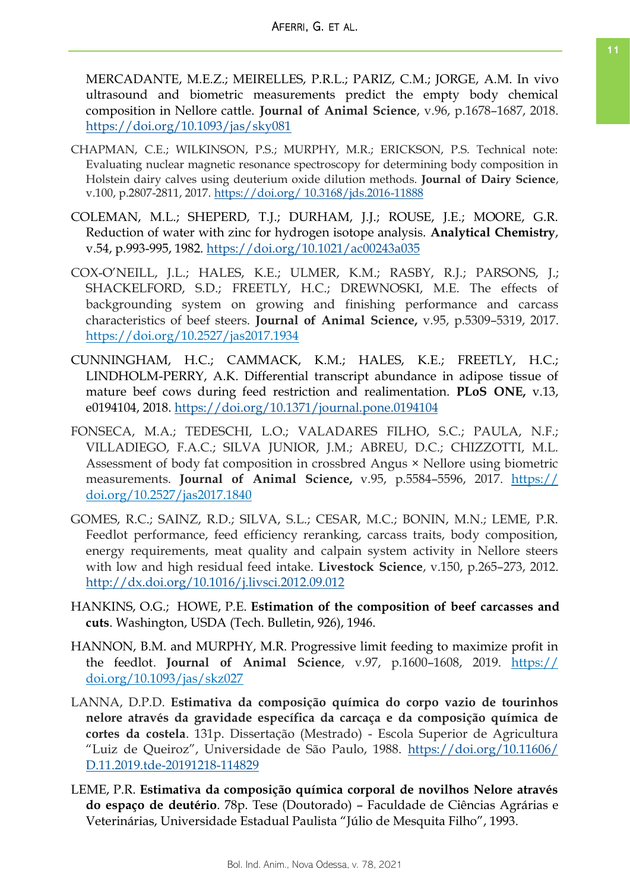MERCADANTE, M.E.Z.; MEIRELLES, P.R.L.; PARIZ, C.M.; JORGE, A.M. In vivo ultrasound and biometric measurements predict the empty body chemical composition in Nellore cattle. **Journal of Animal Science**, v.96, p.1678–1687, 2018. <https://doi.org/10.1093/jas/sky081>

- CHAPMAN, C.E.; WILKINSON, P.S.; MURPHY, M.R.; ERICKSON, P.S. Technical note: Evaluating nuclear magnetic resonance spectroscopy for determining body composition in Holstein dairy calves using deuterium oxide dilution methods. **Journal of Dairy Science**, v.100, p.2807-2811, 2017. [https://doi.org/ 10.3168/jds.2016-11888](https://doi.org/%2010.3168/jds.2016-11888)
- COLEMAN, M.L.; SHEPERD, T.J.; DURHAM, J.J.; ROUSE, J.E.; MOORE, G.R. Reduction of water with zinc for hydrogen isotope analysis. **Analytical Chemistry**, v.54, p.993-995, 1982.<https://doi.org/10.1021/ac00243a035>
- COX-O'NEILL, J.L.; HALES, K.E.; ULMER, K.M.; RASBY, R.J.; PARSONS, J.; SHACKELFORD, S.D.; FREETLY, H.C.; DREWNOSKI, M.E. The effects of backgrounding system on growing and finishing performance and carcass characteristics of beef steers. **Journal of Animal Science,** v.95, p.5309–5319, 2017. <https://doi.org/10.2527/jas2017.1934>
- CUNNINGHAM, H.C.; CAMMACK, K.M.; HALES, K.E.; FREETLY, H.C.; LINDHOLM-PERRY, A.K. Differential transcript abundance in adipose tissue of mature beef cows during feed restriction and realimentation. **PLoS ONE,** v.13, e0194104, 2018.<https://doi.org/10.1371/journal.pone.0194104>
- FONSECA, M.A.; TEDESCHI, L.O.; VALADARES FILHO, S.C.; PAULA, N.F.; VILLADIEGO, F.A.C.; SILVA JUNIOR, J.M.; ABREU, D.C.; CHIZZOTTI, M.L. Assessment of body fat composition in crossbred Angus × Nellore using biometric measurements. **Journal of Animal Science,** v.95, p.5584–5596, 2017. [https://](https://doi.org/10.2527/jas2017.1840) [doi.org/10.2527/jas2017.1840](https://doi.org/10.2527/jas2017.1840)
- GOMES, R.C.; SAINZ, R.D.; SILVA, S.L.; CESAR, M.C.; BONIN, M.N.; LEME, P.R. Feedlot performance, feed efficiency reranking, carcass traits, body composition, energy requirements, meat quality and calpain system activity in Nellore steers with low and high residual feed intake. **Livestock Science**, v.150, p.265–273, 2012. <http://dx.doi.org/10.1016/j.livsci.2012.09.012>
- HANKINS, O.G.; HOWE, P.E. **Estimation of the composition of beef carcasses and cuts**. Washington, USDA (Tech. Bulletin, 926), 1946.
- HANNON, B.M. and MURPHY, M.R. Progressive limit feeding to maximize profit in the feedlot. **Journal of Animal Science**, v.97, p.1600–1608, 2019. [https://](https://doi.org/10.1093/jas/skz027) [doi.org/10.1093/jas/skz027](https://doi.org/10.1093/jas/skz027)
- LANNA, D.P.D. **Estimativa da composição química do corpo vazio de tourinhos nelore através da gravidade específica da carcaça e da composição química de cortes da costela**. 131p. Dissertação (Mestrado) - Escola Superior de Agricultura "Luiz de Queiroz", Universidade de São Paulo, 1988. [https://doi.org/10.11606/](https://doi.org/10.11606/D.11.2019.tde-20191218-114829) [D.11.2019.tde-20191218-114829](https://doi.org/10.11606/D.11.2019.tde-20191218-114829)
- LEME, P.R. **Estimativa da composição química corporal de novilhos Nelore através do espaço de deutério**. 78p. Tese (Doutorado) – Faculdade de Ciências Agrárias e Veterinárias, Universidade Estadual Paulista "Júlio de Mesquita Filho", 1993.